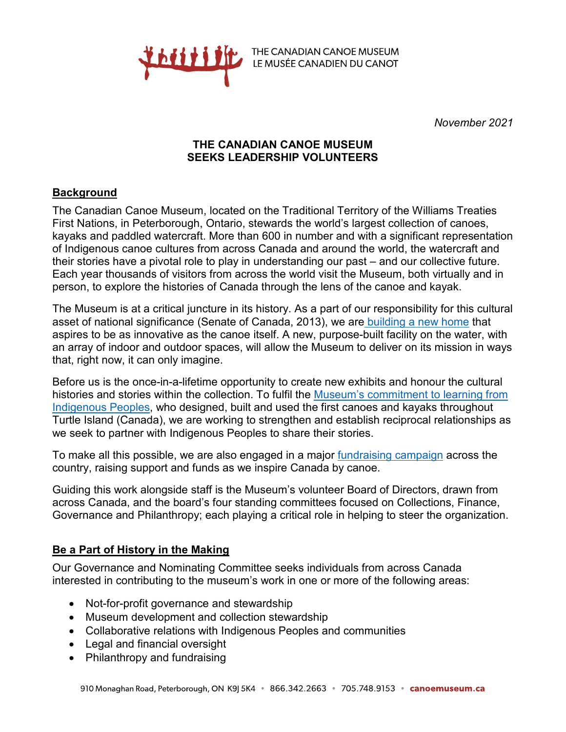

THE CANADIAN CANOE MUSEUM THE CANADIAN CANOE MUSEUM<br>LE MUSÉE CANADIEN DU CANOT

*November 2021*

## **THE CANADIAN CANOE MUSEUM SEEKS LEADERSHIP VOLUNTEERS**

## **Background**

The Canadian Canoe Museum, located on the Traditional Territory of the Williams Treaties First Nations, in Peterborough, Ontario, stewards the world's largest collection of canoes, kayaks and paddled watercraft. More than 600 in number and with a significant representation of Indigenous canoe cultures from across Canada and around the world, the watercraft and their stories have a pivotal role to play in understanding our past – and our collective future. Each year thousands of visitors from across the world visit the Museum, both virtually and in person, to explore the histories of Canada through the lens of the canoe and kayak.

The Museum is at a critical juncture in its history. As a part of our responsibility for this cultural asset of national significance (Senate of Canada, 2013), we are [building a new home](https://canoemuseum.ca/new-museum) that aspires to be as innovative as the canoe itself. A new, purpose-built facility on the water, with an array of indoor and outdoor spaces, will allow the Museum to deliver on its mission in ways that, right now, it can only imagine.

Before us is the once-in-a-lifetime opportunity to create new exhibits and honour the cultural histories and stories within the collection. To fulfil the [Museum's commitment to learning from](https://canoemuseum.ca/collaborative-relations/)  [Indigenous Peoples,](https://canoemuseum.ca/collaborative-relations/) who designed, built and used the first canoes and kayaks throughout Turtle Island (Canada), we are working to strengthen and establish reciprocal relationships as we seek to partner with Indigenous Peoples to share their stories.

To make all this possible, we are also engaged in a major [fundraising campaign](https://canoemuseum.ca/new-museum/ways-to-support) across the country, raising support and funds as we inspire Canada by canoe.

Guiding this work alongside staff is the Museum's volunteer Board of Directors, drawn from across Canada, and the board's four standing committees focused on Collections, Finance, Governance and Philanthropy; each playing a critical role in helping to steer the organization.

## **Be a Part of History in the Making**

Our Governance and Nominating Committee seeks individuals from across Canada interested in contributing to the museum's work in one or more of the following areas:

- Not-for-profit governance and stewardship
- Museum development and collection stewardship
- Collaborative relations with Indigenous Peoples and communities
- Legal and financial oversight
- Philanthropy and fundraising